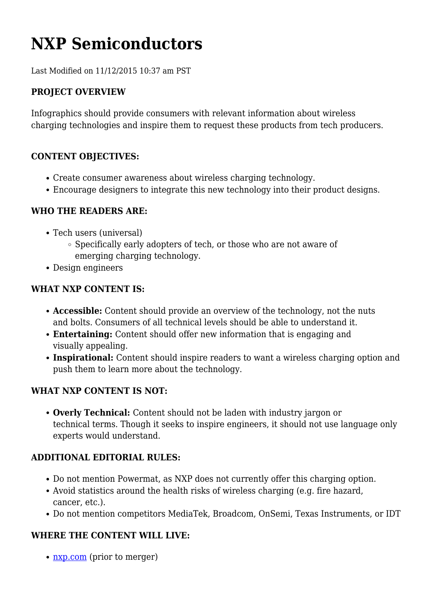# **NXP Semiconductors**

Last Modified on 11/12/2015 10:37 am PST

### **PROJECT OVERVIEW**

Infographics should provide consumers with relevant information about wireless charging technologies and inspire them to request these products from tech producers.

#### **CONTENT OBJECTIVES:**

- Create consumer awareness about wireless charging technology.
- Encourage designers to integrate this new technology into their product designs.

#### **WHO THE READERS ARE:**

- Tech users (universal)
	- Specifically early adopters of tech, or those who are not aware of emerging charging technology.
- Design engineers

#### **WHAT NXP CONTENT IS:**

- **Accessible:** Content should provide an overview of the technology, not the nuts and bolts. Consumers of all technical levels should be able to understand it.
- **Entertaining:** Content should offer new information that is engaging and visually appealing.
- **Inspirational:** Content should inspire readers to want a wireless charging option and push them to learn more about the technology.

#### **WHAT NXP CONTENT IS NOT:**

**Overly Technical:** Content should not be laden with industry jargon or technical terms. Though it seeks to inspire engineers, it should not use language only experts would understand.

#### **ADDITIONAL EDITORIAL RULES:**

- Do not mention Powermat, as NXP does not currently offer this charging option.
- Avoid statistics around the health risks of wireless charging (e.g. fire hazard, cancer, etc.).
- Do not mention competitors MediaTek, Broadcom, OnSemi, Texas Instruments, or IDT

## **WHERE THE CONTENT WILL LIVE:**

• [nxp.com](http://www.nxp.com/) (prior to merger)